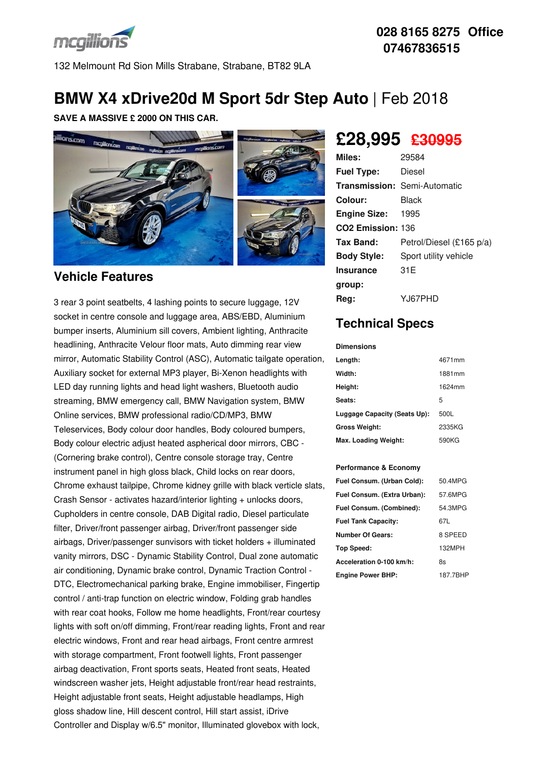

132 Melmount Rd Sion Mills Strabane, Strabane, BT82 9LA

### **028 8165 8275 Office 07467836515**

# **BMW X4 xDrive20d M Sport 5dr Step Auto** | Feb 2018

#### **SAVE A MASSIVE £ 2000 ON THIS CAR.**



### **Vehicle Features**

3 rear 3 point seatbelts, 4 lashing points to secure luggage, 12V socket in centre console and luggage area, ABS/EBD, Aluminium bumper inserts, Aluminium sill covers, Ambient lighting, Anthracite headlining, Anthracite Velour floor mats, Auto dimming rear view mirror, Automatic Stability Control (ASC), Automatic tailgate operation, Auxiliary socket for external MP3 player, Bi-Xenon headlights with LED day running lights and head light washers, Bluetooth audio streaming, BMW emergency call, BMW Navigation system, BMW Online services, BMW professional radio/CD/MP3, BMW Teleservices, Body colour door handles, Body coloured bumpers, Body colour electric adjust heated aspherical door mirrors, CBC - (Cornering brake control), Centre console storage tray, Centre instrument panel in high gloss black, Child locks on rear doors, Chrome exhaust tailpipe, Chrome kidney grille with black verticle slats, Crash Sensor - activates hazard/interior lighting + unlocks doors, Cupholders in centre console, DAB Digital radio, Diesel particulate filter, Driver/front passenger airbag, Driver/front passenger side airbags, Driver/passenger sunvisors with ticket holders + illuminated vanity mirrors, DSC - Dynamic Stability Control, Dual zone automatic air conditioning, Dynamic brake control, Dynamic Traction Control - DTC, Electromechanical parking brake, Engine immobiliser, Fingertip control / anti-trap function on electric window, Folding grab handles with rear coat hooks, Follow me home headlights, Front/rear courtesy lights with soft on/off dimming, Front/rear reading lights, Front and rear electric windows, Front and rear head airbags, Front centre armrest with storage compartment, Front footwell lights, Front passenger airbag deactivation, Front sports seats, Heated front seats, Heated windscreen washer jets, Height adjustable front/rear head restraints, Height adjustable front seats, Height adjustable headlamps, High gloss shadow line, Hill descent control, Hill start assist, iDrive Controller and Display w/6.5" monitor, Illuminated glovebox with lock,

# **£28,995 £30995**

| Miles:                        | 29584                               |
|-------------------------------|-------------------------------------|
| <b>Fuel Type:</b>             | Diesel                              |
|                               | <b>Transmission: Semi-Automatic</b> |
| Colour:                       | Black                               |
| <b>Engine Size: 1995</b>      |                                     |
| CO <sub>2</sub> Emission: 136 |                                     |
| Tax Band:                     | Petrol/Diesel (£165 p/a)            |
| <b>Body Style:</b>            | Sport utility vehicle               |
| <b>Insurance</b>              | 31E                                 |
| group:                        |                                     |
| Reg:                          | YJ67PHD                             |

## **Technical Specs**

**Dimensions**

| ршензюнз                     |        |
|------------------------------|--------|
| Length:                      | 4671mm |
| Width:                       | 1881mm |
| Height:                      | 1624mm |
| Seats:                       | 5      |
| Luggage Capacity (Seats Up): | 500L   |
| <b>Gross Weight:</b>         | 2335KG |
| Max. Loading Weight:         | 590KG  |

#### **Performance & Economy**

| Fuel Consum. (Urban Cold):  | 50.4MPG  |
|-----------------------------|----------|
| Fuel Consum. (Extra Urban): | 57.6MPG  |
| Fuel Consum. (Combined):    | 54.3MPG  |
| <b>Fuel Tank Capacity:</b>  | 67L      |
| <b>Number Of Gears:</b>     | 8 SPEED  |
| <b>Top Speed:</b>           | 132MPH   |
| Acceleration 0-100 km/h:    | 8s       |
| <b>Engine Power BHP:</b>    | 187.7BHP |